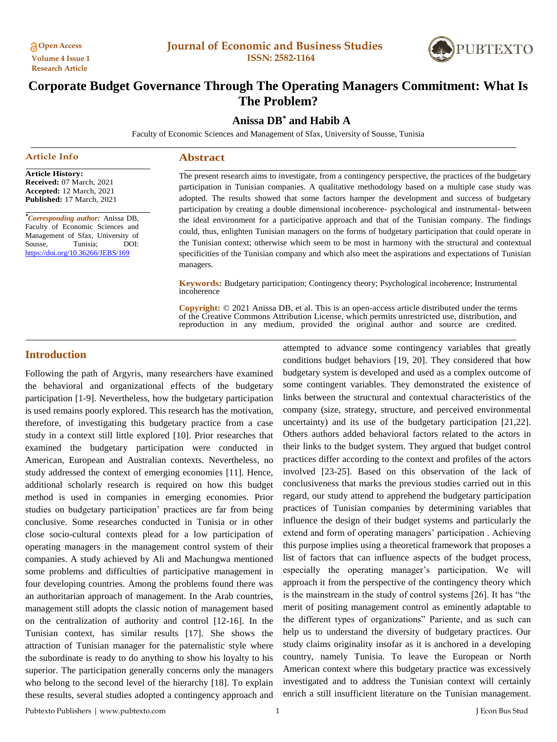

# **Corporate Budget Governance Through The Operating Managers Commitment: What Is The Problem?**

# **Anissa DB\* and Habib A**

Faculty of Economic Sciences and Management of Sfax, University of Sousse, Tunisia

**Abstract**

managers.

#### **Article Info**

**Article History: Received:** 07 March, 2021 **Accepted:** 12 March, 2021 **Published:** 17 March, 2021

*\*Corresponding author:* Anissa DB, Faculty of Economic Sciences and Management of Sfax, University of Sousse, Tunisia; DOI: <https://doi.org/10.36266/JEBS/169>

The present research aims to investigate, from a contingency perspective, the practices of the budgetary participation in Tunisian companies. A qualitative methodology based on a multiple case study was adopted. The results showed that some factors hamper the development and success of budgetary participation by creating a double dimensional incoherence- psychological and instrumental- between the ideal environment for a participative approach and that of the Tunisian company. The findings could, thus, enlighten Tunisian managers on the forms of budgetary participation that could operate in the Tunisian context; otherwise which seem to be most in harmony with the structural and contextual

**Keywords:** Budgetary participation; Contingency theory; Psychological incoherence; Instrumental incoherence

specificities of the Tunisian company and which also meet the aspirations and expectations of Tunisian

**Copyright:** © 2021 Anissa DB, et al. This is an open-access article distributed under the terms of the Creative Commons Attribution License, which permits unrestricted use, distribution, and reproduction in any medium, provided the original author and source are credited.

# **Introduction**

Following the path of Argyris, many researchers have examined the behavioral and organizational effects of the budgetary participation [1-9]. Nevertheless, how the budgetary participation is used remains poorly explored. This research has the motivation, therefore, of investigating this budgetary practice from a case study in a context still little explored [10]. Prior researches that examined the budgetary participation were conducted in American, European and Australian contexts. Nevertheless, no study addressed the context of emerging economies [11]. Hence, additional scholarly research is required on how this budget method is used in companies in emerging economies. Prior studies on budgetary participation' practices are far from being conclusive. Some researches conducted in Tunisia or in other close socio-cultural contexts plead for a low participation of operating managers in the management control system of their companies. A study achieved by Ali and Machungwa mentioned some problems and difficulties of participative management in four developing countries. Among the problems found there was an authoritarian approach of management. In the Arab countries, management still adopts the classic notion of management based on the centralization of authority and control [12-16]. In the Tunisian context, has similar results [17]. She shows the attraction of Tunisian manager for the paternalistic style where the subordinate is ready to do anything to show his loyalty to his superior. The participation generally concerns only the managers who belong to the second level of the hierarchy [18]. To explain these results, several studies adopted a contingency approach and attempted to advance some contingency variables that greatly conditions budget behaviors [19, 20]. They considered that how budgetary system is developed and used as a complex outcome of some contingent variables. They demonstrated the existence of links between the structural and contextual characteristics of the company (size, strategy, structure, and perceived environmental uncertainty) and its use of the budgetary participation [21,22]. Others authors added behavioral factors related to the actors in their links to the budget system. They argued that budget control practices differ according to the context and profiles of the actors involved [23-25]. Based on this observation of the lack of conclusiveness that marks the previous studies carried out in this regard, our study attend to apprehend the budgetary participation practices of Tunisian companies by determining variables that influence the design of their budget systems and particularly the extend and form of operating managers' participation . Achieving this purpose implies using a theoretical framework that proposes a list of factors that can influence aspects of the budget process, especially the operating manager's participation. We will approach it from the perspective of the contingency theory which is the mainstream in the study of control systems [26]. It has "the merit of positing management control as eminently adaptable to the different types of organizations" Pariente, and as such can help us to understand the diversity of budgetary practices. Our study claims originality insofar as it is anchored in a developing country, namely Tunisia. To leave the European or North American context where this budgetary practice was excessively investigated and to address the Tunisian context will certainly enrich a still insufficient literature on the Tunisian management.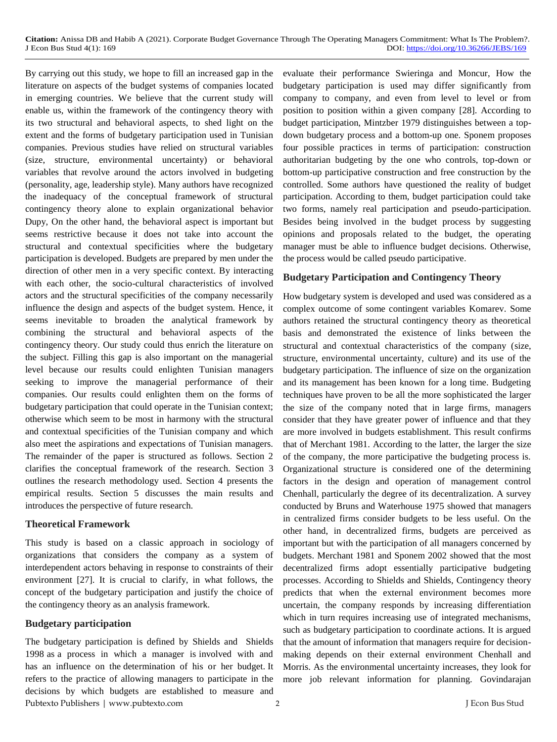By carrying out this study, we hope to fill an increased gap in the literature on aspects of the budget systems of companies located in emerging countries. We believe that the current study will enable us, within the framework of the contingency theory with its two structural and behavioral aspects, to shed light on the extent and the forms of budgetary participation used in Tunisian companies. Previous studies have relied on structural variables (size, structure, environmental uncertainty) or behavioral variables that revolve around the actors involved in budgeting (personality, age, leadership style). Many authors have recognized the inadequacy of the conceptual framework of structural contingency theory alone to explain organizational behavior Dupy, On the other hand, the behavioral aspect is important but seems restrictive because it does not take into account the structural and contextual specificities where the budgetary participation is developed. Budgets are prepared by men under the direction of other men in a very specific context. By interacting with each other, the socio-cultural characteristics of involved actors and the structural specificities of the company necessarily influence the design and aspects of the budget system. Hence, it seems inevitable to broaden the analytical framework by combining the structural and behavioral aspects of the contingency theory. Our study could thus enrich the literature on the subject. Filling this gap is also important on the managerial level because our results could enlighten Tunisian managers seeking to improve the managerial performance of their companies. Our results could enlighten them on the forms of budgetary participation that could operate in the Tunisian context; otherwise which seem to be most in harmony with the structural and contextual specificities of the Tunisian company and which also meet the aspirations and expectations of Tunisian managers. The remainder of the paper is structured as follows. Section 2 clarifies the conceptual framework of the research. Section 3 outlines the research methodology used. Section 4 presents the empirical results. Section 5 discusses the main results and introduces the perspective of future research.

#### **Theoretical Framework**

This study is based on a classic approach in sociology of organizations that considers the company as a system of interdependent actors behaving in response to constraints of their environment [27]. It is crucial to clarify, in what follows, the concept of the budgetary participation and justify the choice of the contingency theory as an analysis framework.

#### **Budgetary participation**

Pubtexto Publishers | www.pubtexto.com 2 J Econ Bus Stud The budgetary participation is defined by Shields and Shields 1998 as a process in which a manager is involved with and has an influence on the determination of his or her budget. It refers to the practice of allowing managers to participate in the decisions by which budgets are established to measure and

evaluate their performance Swieringa and Moncur, How the budgetary participation is used may differ significantly from company to company, and even from level to level or from position to position within a given company [28]. According to budget participation, Mintzber 1979 distinguishes between a topdown budgetary process and a bottom-up one. Sponem proposes four possible practices in terms of participation: construction authoritarian budgeting by the one who controls, top-down or bottom-up participative construction and free construction by the controlled. Some authors have questioned the reality of budget participation. According to them, budget participation could take two forms, namely real participation and pseudo-participation. Besides being involved in the budget process by suggesting opinions and proposals related to the budget, the operating manager must be able to influence budget decisions. Otherwise, the process would be called pseudo participative.

#### **Budgetary Participation and Contingency Theory**

How budgetary system is developed and used was considered as a complex outcome of some contingent variables Komarev. Some authors retained the structural contingency theory as theoretical basis and demonstrated the existence of links between the structural and contextual characteristics of the company (size, structure, environmental uncertainty, culture) and its use of the budgetary participation. The influence of size on the organization and its management has been known for a long time. Budgeting techniques have proven to be all the more sophisticated the larger the size of the company noted that in large firms, managers consider that they have greater power of influence and that they are more involved in budgets establishment. This result confirms that of Merchant 1981. According to the latter, the larger the size of the company, the more participative the budgeting process is. Organizational structure is considered one of the determining factors in the design and operation of management control Chenhall, particularly the degree of its decentralization. A survey conducted by Bruns and Waterhouse 1975 showed that managers in centralized firms consider budgets to be less useful. On the other hand, in decentralized firms, budgets are perceived as important but with the participation of all managers concerned by budgets. Merchant 1981 and Sponem 2002 showed that the most decentralized firms adopt essentially participative budgeting processes. According to Shields and Shields, Contingency theory predicts that when the external environment becomes more uncertain, the company responds by increasing differentiation which in turn requires increasing use of integrated mechanisms, such as budgetary participation to coordinate actions. It is argued that the amount of information that managers require for decisionmaking depends on their external environment Chenhall and Morris. As the environmental uncertainty increases, they look for more job relevant information for planning. Govindarajan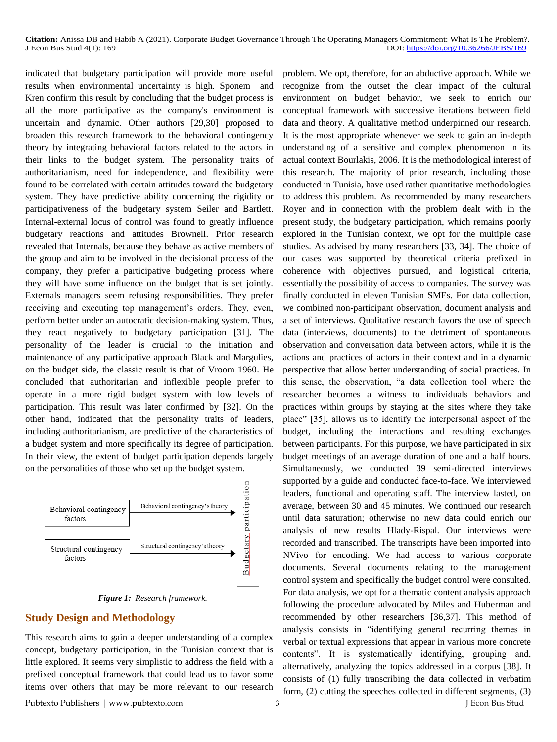indicated that budgetary participation will provide more useful results when environmental uncertainty is high. Sponem and Kren confirm this result by concluding that the budget process is all the more participative as the company's environment is uncertain and dynamic. Other authors [29,30] proposed to broaden this research framework to the behavioral contingency theory by integrating behavioral factors related to the actors in their links to the budget system. The personality traits of authoritarianism, need for independence, and flexibility were found to be correlated with certain attitudes toward the budgetary system. They have predictive ability concerning the rigidity or participativeness of the budgetary system Seiler and Bartlett. Internal-external locus of control was found to greatly influence budgetary reactions and attitudes Brownell. Prior research revealed that Internals, because they behave as active members of the group and aim to be involved in the decisional process of the company, they prefer a participative budgeting process where they will have some influence on the budget that is set jointly. Externals managers seem refusing responsibilities. They prefer receiving and executing top management's orders. They, even, perform better under an autocratic decision-making system. Thus, they react negatively to budgetary participation [31]. The personality of the leader is crucial to the initiation and maintenance of any participative approach Black and Margulies, on the budget side, the classic result is that of Vroom 1960. He concluded that authoritarian and inflexible people prefer to operate in a more rigid budget system with low levels of participation. This result was later confirmed by [32]. On the other hand, indicated that the personality traits of leaders, including authoritarianism, are predictive of the characteristics of a budget system and more specifically its degree of participation. In their view, the extent of budget participation depends largely on the personalities of those who set up the budget system.





## **Study Design and Methodology**

This research aims to gain a deeper understanding of a complex concept, budgetary participation, in the Tunisian context that is little explored. It seems very simplistic to address the field with a prefixed conceptual framework that could lead us to favor some items over others that may be more relevant to our research problem. We opt, therefore, for an abductive approach. While we recognize from the outset the clear impact of the cultural environment on budget behavior, we seek to enrich our conceptual framework with successive iterations between field data and theory. A qualitative method underpinned our research. It is the most appropriate whenever we seek to gain an in-depth understanding of a sensitive and complex phenomenon in its actual context Bourlakis, 2006. It is the methodological interest of this research. The majority of prior research, including those conducted in Tunisia, have used rather quantitative methodologies to address this problem. As recommended by many researchers Royer and in connection with the problem dealt with in the present study, the budgetary participation, which remains poorly explored in the Tunisian context, we opt for the multiple case studies. As advised by many researchers [33, 34]. The choice of our cases was supported by theoretical criteria prefixed in coherence with objectives pursued, and logistical criteria, essentially the possibility of access to companies. The survey was finally conducted in eleven Tunisian SMEs. For data collection, we combined non-participant observation, document analysis and a set of interviews. Qualitative research favors the use of speech data (interviews, documents) to the detriment of spontaneous observation and conversation data between actors, while it is the actions and practices of actors in their context and in a dynamic perspective that allow better understanding of social practices. In this sense, the observation, "a data collection tool where the researcher becomes a witness to individuals behaviors and practices within groups by staying at the sites where they take place" [35], allows us to identify the interpersonal aspect of the budget, including the interactions and resulting exchanges between participants. For this purpose, we have participated in six budget meetings of an average duration of one and a half hours. Simultaneously, we conducted 39 semi-directed interviews supported by a guide and conducted face-to-face. We interviewed leaders, functional and operating staff. The interview lasted, on average, between 30 and 45 minutes. We continued our research until data saturation; otherwise no new data could enrich our analysis of new results Hlady-Rispal. Our interviews were recorded and transcribed. The transcripts have been imported into NVivo for encoding. We had access to various corporate documents. Several documents relating to the management control system and specifically the budget control were consulted. For data analysis, we opt for a thematic content analysis approach following the procedure advocated by Miles and Huberman and recommended by other researchers [36,37]. This method of analysis consists in "identifying general recurring themes in verbal or textual expressions that appear in various more concrete contents". It is systematically identifying, grouping and, alternatively, analyzing the topics addressed in a corpus [38]. It consists of (1) fully transcribing the data collected in verbatim form, (2) cutting the speeches collected in different segments, (3)

Pubtexto Publishers | www.pubtexto.com 3 J Econ Bus Stud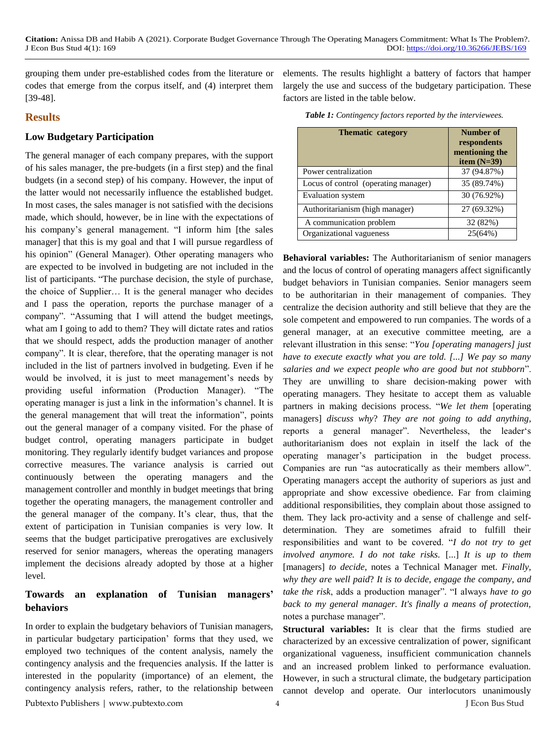grouping them under pre-established codes from the literature or codes that emerge from the corpus itself, and (4) interpret them [39-48].

## **Results**

#### **Low Budgetary Participation**

The general manager of each company prepares, with the support of his sales manager, the pre-budgets (in a first step) and the final budgets (in a second step) of his company. However, the input of the latter would not necessarily influence the established budget. In most cases, the sales manager is not satisfied with the decisions made, which should, however, be in line with the expectations of his company's general management. "I inform him [the sales manager] that this is my goal and that I will pursue regardless of his opinion" (General Manager). Other operating managers who are expected to be involved in budgeting are not included in the list of participants. "The purchase decision, the style of purchase, the choice of Supplier… It is the general manager who decides and I pass the operation, reports the purchase manager of a company". "Assuming that I will attend the budget meetings, what am I going to add to them? They will dictate rates and ratios that we should respect, adds the production manager of another company". It is clear, therefore, that the operating manager is not included in the list of partners involved in budgeting. Even if he would be involved, it is just to meet management's needs by providing useful information (Production Manager). "The operating manager is just a link in the information's channel. It is the general management that will treat the information", points out the general manager of a company visited. For the phase of budget control, operating managers participate in budget monitoring. They regularly identify budget variances and propose corrective measures. The variance analysis is carried out continuously between the operating managers and the management controller and monthly in budget meetings that bring together the operating managers, the management controller and the general manager of the company. It's clear, thus, that the extent of participation in Tunisian companies is very low. It seems that the budget participative prerogatives are exclusively reserved for senior managers, whereas the operating managers implement the decisions already adopted by those at a higher level.

# **Towards an explanation of Tunisian managers' behaviors**

In order to explain the budgetary behaviors of Tunisian managers, in particular budgetary participation' forms that they used, we employed two techniques of the content analysis, namely the contingency analysis and the frequencies analysis. If the latter is interested in the popularity (importance) of an element, the contingency analysis refers, rather, to the relationship between elements. The results highlight a battery of factors that hamper largely the use and success of the budgetary participation. These factors are listed in the table below.

|  |  |  |  |  |  | Table 1: Contingency factors reported by the interviewees. |
|--|--|--|--|--|--|------------------------------------------------------------|
|--|--|--|--|--|--|------------------------------------------------------------|

| <b>Thematic category</b>             | Number of<br>respondents<br>mentioning the<br>item $(N=39)$ |  |  |
|--------------------------------------|-------------------------------------------------------------|--|--|
| Power centralization                 | 37 (94.87%)                                                 |  |  |
| Locus of control (operating manager) | 35 (89.74%)                                                 |  |  |
| Evaluation system                    | 30 (76.92%)                                                 |  |  |
| Authoritarianism (high manager)      | 27 (69.32%)                                                 |  |  |
| A communication problem              | 32 (82%)                                                    |  |  |
| Organizational vagueness             | 25(64%)                                                     |  |  |

**Behavioral variables:** The Authoritarianism of senior managers and the locus of control of operating managers affect significantly budget behaviors in Tunisian companies. Senior managers seem to be authoritarian in their management of companies. They centralize the decision authority and still believe that they are the sole competent and empowered to run companies. The words of a general manager, at an executive committee meeting, are a relevant illustration in this sense: "*You [operating managers] just have to execute exactly what you are told. [...] We pay so many salaries and we expect people who are good but not stubborn*". They are unwilling to share decision-making power with operating managers. They hesitate to accept them as valuable partners in making decisions process. "*We let them* [operating managers] *discuss why*? *They are not going to add anything*, reports a general manager". Nevertheless, the leader's authoritarianism does not explain in itself the lack of the operating manager's participation in the budget process. Companies are run "as autocratically as their members allow". Operating managers accept the authority of superiors as just and appropriate and show excessive obedience. Far from claiming additional responsibilities, they complain about those assigned to them. They lack pro-activity and a sense of challenge and selfdetermination. They are sometimes afraid to fulfill their responsibilities and want to be covered. "*I do not try to get involved anymore. I do not take risks.* [...] *It is up to them* [managers] *to decide*, notes a Technical Manager met. *Finally*, *why they are well paid*? *It is to decide, engage the company, and take the risk*, adds a production manager". "I always *have to go back to my general manager. It's finally a means of protection,*  notes a purchase manager".

**Structural variables:** It is clear that the firms studied are characterized by an excessive centralization of power, significant organizational vagueness, insufficient communication channels and an increased problem linked to performance evaluation. However, in such a structural climate, the budgetary participation cannot develop and operate. Our interlocutors unanimously

Pubtexto Publishers | www.pubtexto.com 4 J Econ Bus Stud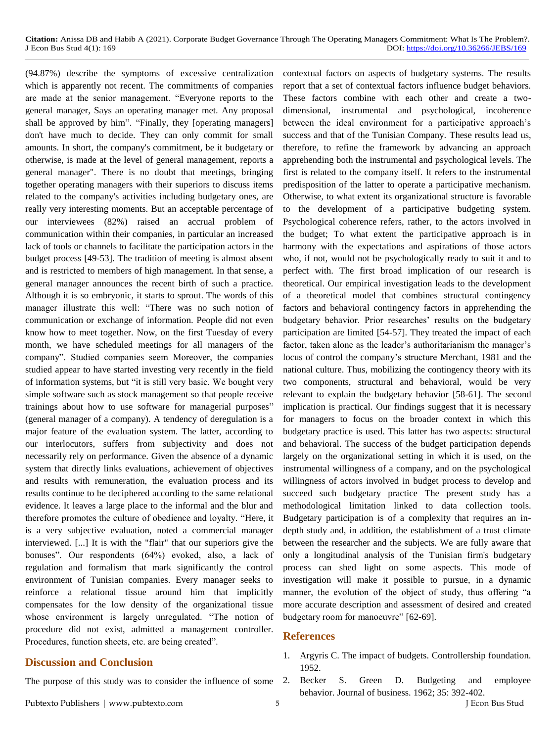(94.87%) describe the symptoms of excessive centralization which is apparently not recent. The commitments of companies are made at the senior management. "Everyone reports to the general manager, Says an operating manager met. Any proposal shall be approved by him". "Finally, they [operating managers] don't have much to decide. They can only commit for small amounts. In short, the company's commitment, be it budgetary or otherwise, is made at the level of general management, reports a general manager". There is no doubt that meetings, bringing together operating managers with their superiors to discuss items related to the company's activities including budgetary ones, are really very interesting moments. But an acceptable percentage of our interviewees (82%) raised an accrual problem of communication within their companies, in particular an increased lack of tools or channels to facilitate the participation actors in the budget process [49-53]. The tradition of meeting is almost absent and is restricted to members of high management. In that sense, a general manager announces the recent birth of such a practice. Although it is so embryonic, it starts to sprout. The words of this manager illustrate this well: "There was no such notion of communication or exchange of information. People did not even know how to meet together. Now, on the first Tuesday of every month, we have scheduled meetings for all managers of the company". Studied companies seem Moreover, the companies studied appear to have started investing very recently in the field of information systems, but "it is still very basic. We bought very simple software such as stock management so that people receive trainings about how to use software for managerial purposes" (general manager of a company). A tendency of deregulation is a major feature of the evaluation system. The latter, according to our interlocutors, suffers from subjectivity and does not necessarily rely on performance. Given the absence of a dynamic system that directly links evaluations, achievement of objectives and results with remuneration, the evaluation process and its results continue to be deciphered according to the same relational evidence. It leaves a large place to the informal and the blur and therefore promotes the culture of obedience and loyalty. "Here, it is a very subjective evaluation, noted a commercial manager interviewed. [...] It is with the "flair" that our superiors give the bonuses". Our respondents (64%) evoked, also, a lack of regulation and formalism that mark significantly the control environment of Tunisian companies. Every manager seeks to reinforce a relational tissue around him that implicitly compensates for the low density of the organizational tissue whose environment is largely unregulated. "The notion of procedure did not exist, admitted a management controller. Procedures, function sheets, etc. are being created".

# **Discussion and Conclusion**

The purpose of this study was to consider the influence of some 2.

contextual factors on aspects of budgetary systems. The results report that a set of contextual factors influence budget behaviors. These factors combine with each other and create a twodimensional, instrumental and psychological, incoherence between the ideal environment for a participative approach's success and that of the Tunisian Company. These results lead us, therefore, to refine the framework by advancing an approach apprehending both the instrumental and psychological levels. The first is related to the company itself. It refers to the instrumental predisposition of the latter to operate a participative mechanism. Otherwise, to what extent its organizational structure is favorable to the development of a participative budgeting system. Psychological coherence refers, rather, to the actors involved in the budget; To what extent the participative approach is in harmony with the expectations and aspirations of those actors who, if not, would not be psychologically ready to suit it and to perfect with. The first broad implication of our research is theoretical. Our empirical investigation leads to the development of a theoretical model that combines structural contingency factors and behavioral contingency factors in apprehending the budgetary behavior. Prior researches' results on the budgetary participation are limited [54-57]. They treated the impact of each factor, taken alone as the leader's authoritarianism the manager's locus of control the company's structure Merchant, 1981 and the national culture. Thus, mobilizing the contingency theory with its two components, structural and behavioral, would be very relevant to explain the budgetary behavior [58-61]. The second implication is practical. Our findings suggest that it is necessary for managers to focus on the broader context in which this budgetary practice is used. This latter has two aspects: structural and behavioral. The success of the budget participation depends largely on the organizational setting in which it is used, on the instrumental willingness of a company, and on the psychological willingness of actors involved in budget process to develop and succeed such budgetary practice The present study has a methodological limitation linked to data collection tools. Budgetary participation is of a complexity that requires an indepth study and, in addition, the establishment of a trust climate between the researcher and the subjects. We are fully aware that only a longitudinal analysis of the Tunisian firm's budgetary process can shed light on some aspects. This mode of investigation will make it possible to pursue, in a dynamic manner, the evolution of the object of study, thus offering "a more accurate description and assessment of desired and created budgetary room for manoeuvre" [62-69].

#### **References**

- 1. [Argyris C. The impact of budgets. Controllership foundation.](https://catalog.hathitrust.org/Record/005306296)  [1952.](https://catalog.hathitrust.org/Record/005306296)
- Becker S. Green D. Budgeting and employee behavior. Journal of business. 1962; 35: 392-402.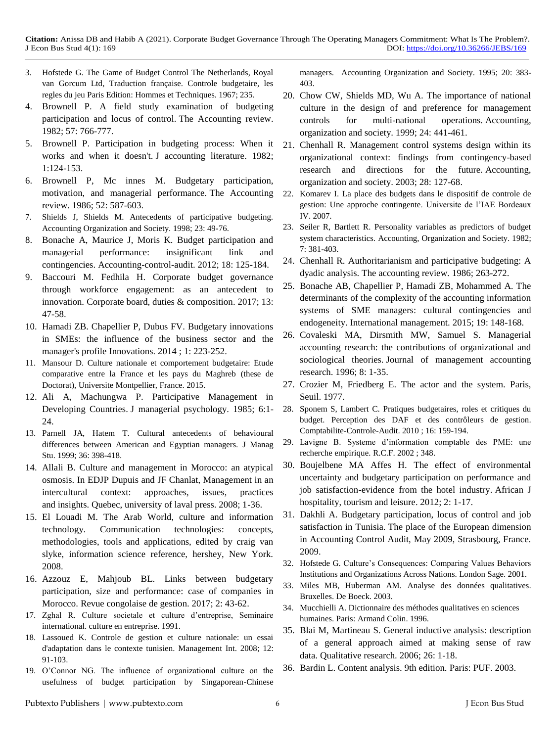- 3. Hofstede G. The Game of Budget Control The Netherlands, Royal van Gorcum Ltd, Traduction française. Controle budgetaire, les regles du jeu Paris Edition: Hommes et Techniques. 1967; 235.
- 4. Brownell P. A field study examination of budgeting participation and locus of control. The Accounting review. 1982; 57: 766-777.
- 5. Brownell P. Participation in budgeting process: When it works and when it doesn't. J accounting literature. 1982; 1:124-153.
- 6. Brownell P, Mc innes M. Budgetary participation, motivation, and managerial performance. The Accounting review. 1986; 52: 587-603.
- 7. [Shields J, Shields M. Antecedents of participative budgeting.](https://www.sciencedirect.com/science/article/abs/pii/S0361368297000147)  [Accounting Organization and Society. 1998; 23: 49-76.](https://www.sciencedirect.com/science/article/abs/pii/S0361368297000147)
- 8. [Bonache A, Maurice J, Moris K. Budget participation and](https://www.cairn-int.info/article-E_CCA_182_0125--budgetary-participation-and-managerial.htm)  [managerial performance: insignificant link and](https://www.cairn-int.info/article-E_CCA_182_0125--budgetary-participation-and-managerial.htm)  contingencies. [Accounting-control-audit. 2012; 18: 125-184.](https://www.cairn-int.info/article-E_CCA_182_0125--budgetary-participation-and-managerial.htm)
- 9. [Baccouri M. Fedhila H. Corporate budget governance](https://pdfs.semanticscholar.org/876e/4c219bf164f833274d6e721bd5401c968f7e.pdf)  [through workforce engagement: as an antecedent to](https://pdfs.semanticscholar.org/876e/4c219bf164f833274d6e721bd5401c968f7e.pdf)  innovation. [Corporate board, duties & composition. 2017; 13:](https://pdfs.semanticscholar.org/876e/4c219bf164f833274d6e721bd5401c968f7e.pdf)  [47-58.](https://pdfs.semanticscholar.org/876e/4c219bf164f833274d6e721bd5401c968f7e.pdf)
- 10. [Hamadi ZB. Chapellier P, Dubus FV. Budgetary innovations](https://www.cairn-int.info/revue-innovations-2014-1-page-223.htm)  [in SMEs: the influence of the business sector and the](https://www.cairn-int.info/revue-innovations-2014-1-page-223.htm)  manager's profile [Innovations. 2014](https://www.cairn-int.info/revue-innovations-2014-1-page-223.htm) ; 1: 223-252.
- 11. [Mansour D. Culture nationale et comportement budgetaire: Etude](https://tel.archives-ouvertes.fr/tel-01365277/)  [comparative entre la France et les pays du Maghreb](https://tel.archives-ouvertes.fr/tel-01365277/) (these de [Doctorat\), Universite Montpellier, France. 2015.](https://tel.archives-ouvertes.fr/tel-01365277/)
- 12. Ali A, Machungwa P. Participative Management in Developing Countries. J managerial psychology. 1985; 6:1- 24.
- 13. [Parnell JA, Hatem T. Cultural antecedents of behavioural](https://onlinelibrary.wiley.com/doi/abs/10.1111/1467-6486.00142)  [differences between American and Egyptian managers. J Manag](https://onlinelibrary.wiley.com/doi/abs/10.1111/1467-6486.00142)  [Stu. 1999; 36: 398-418.](https://onlinelibrary.wiley.com/doi/abs/10.1111/1467-6486.00142)
- 14. Allali B. Culture and management in Morocco: an atypical osmosis. In EDJP Dupuis and JF Chanlat, Management in an intercultural context: approaches, issues, practices and insights. Quebec, university of laval press. 2008; 1-36.
- 15. [El Louadi M. The Arab World, culture and information](https://www.igi-global.com/chapter/information-communication-technologies/22662)  [technology. Communication technologies: concepts,](https://www.igi-global.com/chapter/information-communication-technologies/22662)  [methodologies, tools and applications, edited by craig van](https://www.igi-global.com/chapter/information-communication-technologies/22662)  [slyke, information science reference, hershey, New York.](https://www.igi-global.com/chapter/information-communication-technologies/22662)  [2008.](https://www.igi-global.com/chapter/information-communication-technologies/22662)
- 16. Azzouz E, Mahjoub BL. Links between budgetary participation, size and performance: case of companies in Morocco. Revue congolaise de gestion. 2017; 2: 43-62.
- 17. [Zghal R. Culture societale et culture d'entreprise, Seminaire](https://ouvrages.crasc.dz/pdfs/1997-cult-dentr-riadh-zghal.pdf)  [international. culture en entreprise. 1991.](https://ouvrages.crasc.dz/pdfs/1997-cult-dentr-riadh-zghal.pdf)
- 18. [Lassoued K. Controle de gestion et culture nationale: un essai](https://pascal-francis.inist.fr/vibad/index.php?action=getRecordDetail&idt=20738330)  [d'adaptation dans le contexte tunisien. Management Int. 2008; 12:](https://pascal-francis.inist.fr/vibad/index.php?action=getRecordDetail&idt=20738330)  [91-103.](https://pascal-francis.inist.fr/vibad/index.php?action=getRecordDetail&idt=20738330)
- 19. [O'Connor NG. The influence of organizational culture on the](https://www.sciencedirect.com/science/article/abs/pii/036136829400034S)  [usefulness of budget participation by Singaporean-Chinese](https://www.sciencedirect.com/science/article/abs/pii/036136829400034S)

[managers. Accounting Organization and Society. 1995; 20: 383-](https://www.sciencedirect.com/science/article/abs/pii/036136829400034S) [403.](https://www.sciencedirect.com/science/article/abs/pii/036136829400034S)

- 20. [Chow CW, Shields MD, Wu A. The importance of national](https://www.sciencedirect.com/science/article/abs/pii/S0361368299000471)  [culture in the design of and preference for management](https://www.sciencedirect.com/science/article/abs/pii/S0361368299000471)  [controls for multi-national operations.](https://www.sciencedirect.com/science/article/abs/pii/S0361368299000471) Accounting, [organization and society. 1999; 24: 441-461.](https://www.sciencedirect.com/science/article/abs/pii/S0361368299000471)
- 21. [Chenhall R. Management control systems design within its](https://www.sciencedirect.com/science/article/abs/pii/S0361368201000277)  [organizational context: findings from contingency-based](https://www.sciencedirect.com/science/article/abs/pii/S0361368201000277)  [research and directions for the future.](https://www.sciencedirect.com/science/article/abs/pii/S0361368201000277) Accounting, [organization and society. 2003; 28: 127-68.](https://www.sciencedirect.com/science/article/abs/pii/S0361368201000277)
- 22. [Komarev I. La place des budgets dans le dispositif de controle de](https://tel.archives-ouvertes.fr/tel-00259505/)  [gestion: Une approche contingente. Universite de l'IAE Bordeaux](https://tel.archives-ouvertes.fr/tel-00259505/) [IV. 2007.](https://tel.archives-ouvertes.fr/tel-00259505/)
- 23. [Seiler R, Bartlett R. Personality variables as predictors of budget](https://www.sciencedirect.com/science/article/abs/pii/0361368282900125)  [system characteristics. Accounting, Organization and Society. 1982;](https://www.sciencedirect.com/science/article/abs/pii/0361368282900125)  [7: 381-403.](https://www.sciencedirect.com/science/article/abs/pii/0361368282900125)
- 24. Chenhall R. Authoritarianism and participative budgeting: A dyadic analysis. The accounting review. 1986; 263-272.
- 25. Bonache AB, Chapellier P, Hamadi ZB, Mohammed A. The determinants of the complexity of the accounting information systems of SME managers: cultural contingencies and endogeneity. International management. 2015; 19: 148-168.
- 26. Covaleski MA, Dirsmith MW, Samuel S. Managerial accounting research: the contributions of organizational and sociological theories. Journal of management accounting research. 1996; 8: 1-35.
- 27. Crozier M, Friedberg E. The actor and the system. Paris, Seuil. 1977.
- 28. [Sponem S, Lambert C. Pratiques budgetaires, roles et critiques du](https://www.cairn.info/journal-comptabilite-controle-audit-2010-1-page-159.htm)  [budget. Perception des DAF et des contrôleurs de gestion.](https://www.cairn.info/journal-comptabilite-controle-audit-2010-1-page-159.htm)  [Comptabilite-Controle-Audit. 2010](https://www.cairn.info/journal-comptabilite-controle-audit-2010-1-page-159.htm) ; 16: 159-194.
- 29. Lavigne B. Systeme d'information comptable des PME: une recherche empirique. R.C.F. 2002 ; 348.
- 30. [Boujelbene MA Affes H. The effect of environmental](http://www.ajhtl.com/uploads/7/1/6/3/7163688/boujelbene_m.a.__affes_b._vol_2_2.pdf)  [uncertainty and budgetary participation on performance and](http://www.ajhtl.com/uploads/7/1/6/3/7163688/boujelbene_m.a.__affes_b._vol_2_2.pdf)  [job satisfaction-evidence from the hotel industry.](http://www.ajhtl.com/uploads/7/1/6/3/7163688/boujelbene_m.a.__affes_b._vol_2_2.pdf) African J [hospitality, tourism and leisure. 2012; 2: 1-17.](http://www.ajhtl.com/uploads/7/1/6/3/7163688/boujelbene_m.a.__affes_b._vol_2_2.pdf)
- 31. [Dakhli A. Budgetary participation, locus of control and job](https://halshs.archives-ouvertes.fr/halshs-00459229/)  satisfaction in Tunisia. [The place of the European dimension](https://halshs.archives-ouvertes.fr/halshs-00459229/)  [in Accounting Control Audit, May 2009, Strasbourg, France.](https://halshs.archives-ouvertes.fr/halshs-00459229/)  [2009.](https://halshs.archives-ouvertes.fr/halshs-00459229/)
- 32. [Hofstede G. Culture's Consequences: Comparing Values Behaviors](https://search.proquest.com/openview/83def5d713e3de089191ae2393ccf2b5/1?pq-origsite=gscholar&cbl=426365)  [Institutions and Organizations Across Nations.](https://search.proquest.com/openview/83def5d713e3de089191ae2393ccf2b5/1?pq-origsite=gscholar&cbl=426365) London Sage. 2001.
- 33. Miles MB, Huberman AM. Analyse des données qualitatives. Bruxelles. De Boeck. 2003.
- 34. Mucchielli A. Dictionnaire des méthodes qualitatives en sciences humaines. Paris: Armand Colin. 1996.
- 35. Blai M, Martineau S. General inductive analysis: description of a general approach aimed at making sense of raw data. Qualitative research. 2006; 26: 1-18.
- 36. Bardin L. Content analysis. 9th edition. Paris: PUF. 2003.